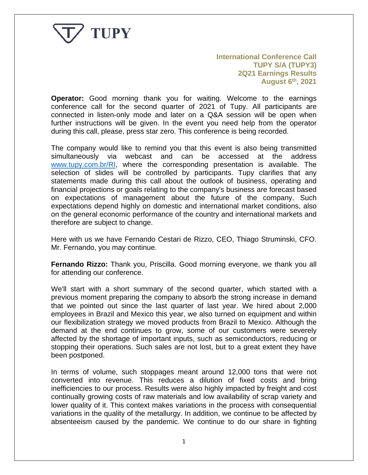

**International Conference Call TUPY S/A (TUPY3) 2Q21 Earnings Results August 6th, 2021**

**Operator:** Good morning thank you for waiting. Welcome to the earnings conference call for the second quarter of 2021 of Tupy. All participants are connected in listen-only mode and later on a Q&A session will be open when further instructions will be given. In the event you need help from the operator during this call, please, press star zero. This conference is being recorded.

The company would like to remind you that this event is also being transmitted simultaneously via webcast and can be accessed at the address [www.tupy.com.br/RI,](http://www.tupy.com.br/RI) where the corresponding presentation is available. The selection of slides will be controlled by participants. Tupy clarifies that any statements made during this call about the outlook of business, operating and financial projections or goals relating to the company's business are forecast based on expectations of management about the future of the company. Such expectations depend highly on domestic and international market conditions, also on the general economic performance of the country and international markets and therefore are subject to change.

Here with us we have Fernando Cestari de Rizzo, CEO, Thiago Struminski, CFO. Mr. Fernando, you may continue.

**Fernando Rizzo:** Thank you, Priscilla. Good morning everyone, we thank you all for attending our conference.

We'll start with a short summary of the second quarter, which started with a previous moment preparing the company to absorb the strong increase in demand that we pointed out since the last quarter of last year. We hired about 2,000 employees in Brazil and Mexico this year, we also turned on equipment and within our flexibilization strategy we moved products from Brazil to Mexico. Although the demand at the end continues to grow, some of our customers were severely affected by the shortage of important inputs, such as semiconductors, reducing or stopping their operations. Such sales are not lost, but to a great extent they have been postponed.

In terms of volume, such stoppages meant around 12,000 tons that were not converted into revenue. This reduces a dilution of fixed costs and bring inefficiencies to our process. Results were also highly impacted by freight and cost continually growing costs of raw materials and low availability of scrap variety and lower quality of it. This context makes variations in the process with consequential variations in the quality of the metallurgy. In addition, we continue to be affected by absenteeism caused by the pandemic. We continue to do our share in fighting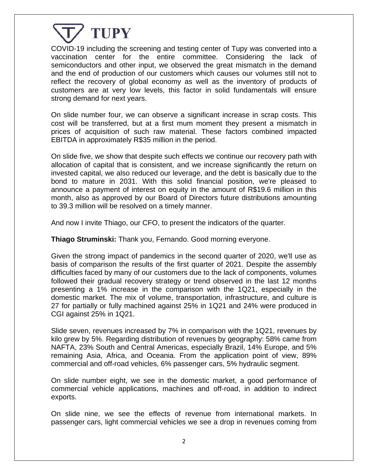

COVID-19 including the screening and testing center of Tupy was converted into a vaccination center for the entire committee. Considering the lack of semiconductors and other input, we observed the great mismatch in the demand and the end of production of our customers which causes our volumes still not to reflect the recovery of global economy as well as the inventory of products of customers are at very low levels, this factor in solid fundamentals will ensure strong demand for next years.

On slide number four, we can observe a significant increase in scrap costs. This cost will be transferred, but at a first mum moment they present a mismatch in prices of acquisition of such raw material. These factors combined impacted EBITDA in approximately R\$35 million in the period.

On slide five, we show that despite such effects we continue our recovery path with allocation of capital that is consistent, and we increase significantly the return on invested capital, we also reduced our leverage, and the debt is basically due to the bond to mature in 2031. With this solid financial position, we're pleased to announce a payment of interest on equity in the amount of R\$19.6 million in this month, also as approved by our Board of Directors future distributions amounting to 39.3 million will be resolved on a timely manner.

And now I invite Thiago, our CFO, to present the indicators of the quarter.

**Thiago Struminski:** Thank you, Fernando. Good morning everyone.

Given the strong impact of pandemics in the second quarter of 2020, we'll use as basis of comparison the results of the first quarter of 2021. Despite the assembly difficulties faced by many of our customers due to the lack of components, volumes followed their gradual recovery strategy or trend observed in the last 12 months presenting a 1% increase in the comparison with the 1Q21, especially in the domestic market. The mix of volume, transportation, infrastructure, and culture is 27 for partially or fully machined against 25% in 1Q21 and 24% were produced in CGI against 25% in 1Q21.

Slide seven, revenues increased by 7% in comparison with the 1Q21, revenues by kilo grew by 5%. Regarding distribution of revenues by geography: 58% came from NAFTA, 23% South and Central Americas, especially Brazil, 14% Europe, and 5% remaining Asia, Africa, and Oceania. From the application point of view, 89% commercial and off-road vehicles, 6% passenger cars, 5% hydraulic segment.

On slide number eight, we see in the domestic market, a good performance of commercial vehicle applications, machines and off-road, in addition to indirect exports.

On slide nine, we see the effects of revenue from international markets. In passenger cars, light commercial vehicles we see a drop in revenues coming from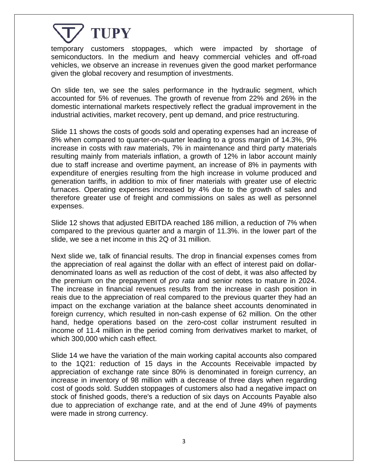

temporary customers stoppages, which were impacted by shortage of semiconductors. In the medium and heavy commercial vehicles and off-road vehicles, we observe an increase in revenues given the good market performance given the global recovery and resumption of investments.

On slide ten, we see the sales performance in the hydraulic segment, which accounted for 5% of revenues. The growth of revenue from 22% and 26% in the domestic international markets respectively reflect the gradual improvement in the industrial activities, market recovery, pent up demand, and price restructuring.

Slide 11 shows the costs of goods sold and operating expenses had an increase of 8% when compared to quarter-on-quarter leading to a gross margin of 14.3%, 9% increase in costs with raw materials, 7% in maintenance and third party materials resulting mainly from materials inflation, a growth of 12% in labor account mainly due to staff increase and overtime payment, an increase of 8% in payments with expenditure of energies resulting from the high increase in volume produced and generation tariffs, in addition to mix of finer materials with greater use of electric furnaces. Operating expenses increased by 4% due to the growth of sales and therefore greater use of freight and commissions on sales as well as personnel expenses.

Slide 12 shows that adjusted EBITDA reached 186 million, a reduction of 7% when compared to the previous quarter and a margin of 11.3%. in the lower part of the slide, we see a net income in this 2Q of 31 million.

Next slide we, talk of financial results. The drop in financial expenses comes from the appreciation of real against the dollar with an effect of interest paid on dollardenominated loans as well as reduction of the cost of debt, it was also affected by the premium on the prepayment of *pro rata* and senior notes to mature in 2024. The increase in financial revenues results from the increase in cash position in reais due to the appreciation of real compared to the previous quarter they had an impact on the exchange variation at the balance sheet accounts denominated in foreign currency, which resulted in non-cash expense of 62 million. On the other hand, hedge operations based on the zero-cost collar instrument resulted in income of 11.4 million in the period coming from derivatives market to market, of which 300,000 which cash effect.

Slide 14 we have the variation of the main working capital accounts also compared to the 1Q21: reduction of 15 days in the Accounts Receivable impacted by appreciation of exchange rate since 80% is denominated in foreign currency, an increase in inventory of 98 million with a decrease of three days when regarding cost of goods sold. Sudden stoppages of customers also had a negative impact on stock of finished goods, there's a reduction of six days on Accounts Payable also due to appreciation of exchange rate, and at the end of June 49% of payments were made in strong currency.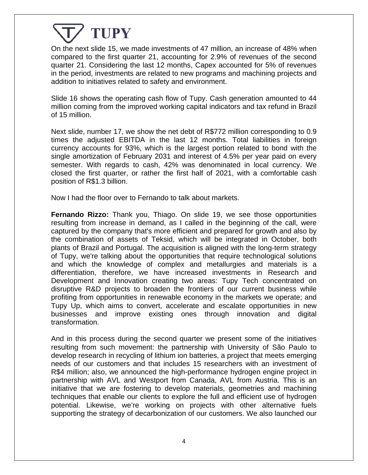On the next slide 15, we made investments of 47 million, an increase of 48% when compared to the first quarter 21, accounting for 2.9% of revenues of the second quarter 21. Considering the last 12 months, Capex accounted for 5% of revenues in the period, investments are related to new programs and machining projects and addition to initiatives related to safety and environment.

Slide 16 shows the operating cash flow of Tupy. Cash generation amounted to 44 million coming from the improved working capital indicators and tax refund in Brazil of 15 million.

Next slide, number 17, we show the net debt of R\$772 million corresponding to 0.9 times the adjusted EBITDA in the last 12 months. Total liabilities in foreign currency accounts for 93%, which is the largest portion related to bond with the single amortization of February 2031 and interest of 4.5% per year paid on every semester. With regards to cash, 42% was denominated in local currency. We closed the first quarter, or rather the first half of 2021, with a comfortable cash position of R\$1.3 billion.

Now I had the floor over to Fernando to talk about markets.

**Fernando Rizzo:** Thank you, Thiago. On slide 19, we see those opportunities resulting from increase in demand, as I called in the beginning of the call, were captured by the company that's more efficient and prepared for growth and also by the combination of assets of Teksid, which will be integrated in October, both plants of Brazil and Portugal. The acquisition is aligned with the long-term strategy of Tupy, we're talking about the opportunities that require technological solutions and which the knowledge of complex and metallurgies and materials is a differentiation, therefore, we have increased investments in Research and Development and Innovation creating two areas: Tupy Tech concentrated on disruptive R&D projects to broaden the frontiers of our current business while profiting from opportunities in renewable economy in the markets we operate; and Tupy Up, which aims to convert, accelerate and escalate opportunities in new businesses and improve existing ones through innovation and digital transformation.

And in this process during the second quarter we present some of the initiatives resulting from such movement: the partnership with University of São Paulo to develop research in recycling of lithium ion batteries, a project that meets emerging needs of our customers and that includes 15 researchers with an investment of R\$4 million; also, we announced the high-performance hydrogen engine project in partnership with AVL and Westport from Canada, AVL from Austria. This is an initiative that we are fostering to develop materials, geometries and machining techniques that enable our clients to explore the full and efficient use of hydrogen potential. Likewise, we're working on projects with other alternative fuels supporting the strategy of decarbonization of our customers. We also launched our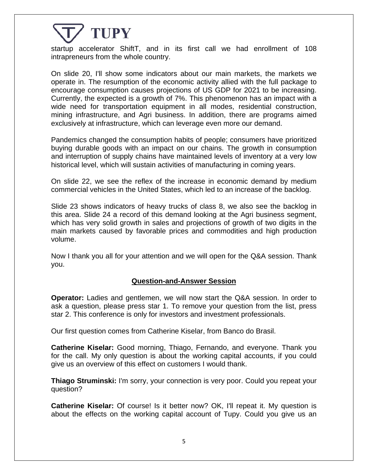startup accelerator ShiftT, and in its first call we had enrollment of 108 intrapreneurs from the whole country.

On slide 20, I'll show some indicators about our main markets, the markets we operate in. The resumption of the economic activity allied with the full package to encourage consumption causes projections of US GDP for 2021 to be increasing. Currently, the expected is a growth of 7%. This phenomenon has an impact with a wide need for transportation equipment in all modes, residential construction, mining infrastructure, and Agri business. In addition, there are programs aimed exclusively at infrastructure, which can leverage even more our demand.

Pandemics changed the consumption habits of people; consumers have prioritized buying durable goods with an impact on our chains. The growth in consumption and interruption of supply chains have maintained levels of inventory at a very low historical level, which will sustain activities of manufacturing in coming years.

On slide 22, we see the reflex of the increase in economic demand by medium commercial vehicles in the United States, which led to an increase of the backlog.

Slide 23 shows indicators of heavy trucks of class 8, we also see the backlog in this area. Slide 24 a record of this demand looking at the Agri business segment, which has very solid growth in sales and projections of growth of two digits in the main markets caused by favorable prices and commodities and high production volume.

Now I thank you all for your attention and we will open for the Q&A session. Thank you.

#### **Question-and-Answer Session**

**Operator:** Ladies and gentlemen, we will now start the Q&A session. In order to ask a question, please press star 1. To remove your question from the list, press star 2. This conference is only for investors and investment professionals.

Our first question comes from Catherine Kiselar, from Banco do Brasil.

**Catherine Kiselar:** Good morning, Thiago, Fernando, and everyone. Thank you for the call. My only question is about the working capital accounts, if you could give us an overview of this effect on customers I would thank.

**Thiago Struminski:** I'm sorry, your connection is very poor. Could you repeat your question?

**Catherine Kiselar:** Of course! Is it better now? OK, I'll repeat it. My question is about the effects on the working capital account of Tupy. Could you give us an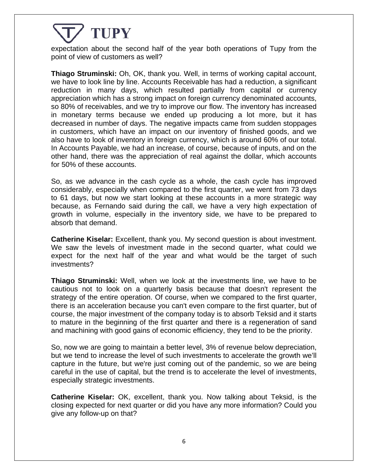expectation about the second half of the year both operations of Tupy from the point of view of customers as well?

**Thiago Struminski:** Oh, OK, thank you. Well, in terms of working capital account, we have to look line by line. Accounts Receivable has had a reduction, a significant reduction in many days, which resulted partially from capital or currency appreciation which has a strong impact on foreign currency denominated accounts, so 80% of receivables, and we try to improve our flow. The inventory has increased in monetary terms because we ended up producing a lot more, but it has decreased in number of days. The negative impacts came from sudden stoppages in customers, which have an impact on our inventory of finished goods, and we also have to look of inventory in foreign currency, which is around 60% of our total. In Accounts Payable, we had an increase, of course, because of inputs, and on the other hand, there was the appreciation of real against the dollar, which accounts for 50% of these accounts.

So, as we advance in the cash cycle as a whole, the cash cycle has improved considerably, especially when compared to the first quarter, we went from 73 days to 61 days, but now we start looking at these accounts in a more strategic way because, as Fernando said during the call, we have a very high expectation of growth in volume, especially in the inventory side, we have to be prepared to absorb that demand.

**Catherine Kiselar:** Excellent, thank you. My second question is about investment. We saw the levels of investment made in the second quarter, what could we expect for the next half of the year and what would be the target of such investments?

**Thiago Struminski:** Well, when we look at the investments line, we have to be cautious not to look on a quarterly basis because that doesn't represent the strategy of the entire operation. Of course, when we compared to the first quarter, there is an acceleration because you can't even compare to the first quarter, but of course, the major investment of the company today is to absorb Teksid and it starts to mature in the beginning of the first quarter and there is a regeneration of sand and machining with good gains of economic efficiency, they tend to be the priority.

So, now we are going to maintain a better level, 3% of revenue below depreciation, but we tend to increase the level of such investments to accelerate the growth we'll capture in the future, but we're just coming out of the pandemic, so we are being careful in the use of capital, but the trend is to accelerate the level of investments, especially strategic investments.

**Catherine Kiselar:** OK, excellent, thank you. Now talking about Teksid, is the closing expected for next quarter or did you have any more information? Could you give any follow-up on that?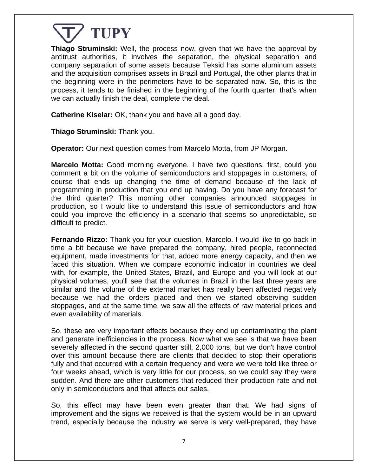

**Thiago Struminski:** Well, the process now, given that we have the approval by antitrust authorities, it involves the separation, the physical separation and company separation of some assets because Teksid has some aluminum assets and the acquisition comprises assets in Brazil and Portugal, the other plants that in the beginning were in the perimeters have to be separated now. So, this is the process, it tends to be finished in the beginning of the fourth quarter, that's when we can actually finish the deal, complete the deal.

**Catherine Kiselar:** OK, thank you and have all a good day.

**Thiago Struminski:** Thank you.

**Operator:** Our next question comes from Marcelo Motta, from JP Morgan.

**Marcelo Motta:** Good morning everyone. I have two questions. first, could you comment a bit on the volume of semiconductors and stoppages in customers, of course that ends up changing the time of demand because of the lack of programming in production that you end up having. Do you have any forecast for the third quarter? This morning other companies announced stoppages in production, so I would like to understand this issue of semiconductors and how could you improve the efficiency in a scenario that seems so unpredictable, so difficult to predict.

**Fernando Rizzo:** Thank you for your question, Marcelo. I would like to go back in time a bit because we have prepared the company, hired people, reconnected equipment, made investments for that, added more energy capacity, and then we faced this situation. When we compare economic indicator in countries we deal with, for example, the United States, Brazil, and Europe and you will look at our physical volumes, you'll see that the volumes in Brazil in the last three years are similar and the volume of the external market has really been affected negatively because we had the orders placed and then we started observing sudden stoppages, and at the same time, we saw all the effects of raw material prices and even availability of materials.

So, these are very important effects because they end up contaminating the plant and generate inefficiencies in the process. Now what we see is that we have been severely affected in the second quarter still, 2,000 tons, but we don't have control over this amount because there are clients that decided to stop their operations fully and that occurred with a certain frequency and were we were told like three or four weeks ahead, which is very little for our process, so we could say they were sudden. And there are other customers that reduced their production rate and not only in semiconductors and that affects our sales.

So, this effect may have been even greater than that. We had signs of improvement and the signs we received is that the system would be in an upward trend, especially because the industry we serve is very well-prepared, they have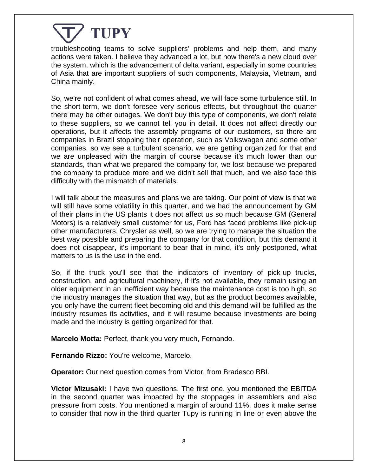

troubleshooting teams to solve suppliers' problems and help them, and many actions were taken. I believe they advanced a lot, but now there's a new cloud over the system, which is the advancement of delta variant, especially in some countries of Asia that are important suppliers of such components, Malaysia, Vietnam, and China mainly.

So, we're not confident of what comes ahead, we will face some turbulence still. In the short-term, we don't foresee very serious effects, but throughout the quarter there may be other outages. We don't buy this type of components, we don't relate to these suppliers, so we cannot tell you in detail. It does not affect directly our operations, but it affects the assembly programs of our customers, so there are companies in Brazil stopping their operation, such as Volkswagen and some other companies, so we see a turbulent scenario, we are getting organized for that and we are unpleased with the margin of course because it's much lower than our standards, than what we prepared the company for, we lost because we prepared the company to produce more and we didn't sell that much, and we also face this difficulty with the mismatch of materials.

I will talk about the measures and plans we are taking. Our point of view is that we will still have some volatility in this quarter, and we had the announcement by GM of their plans in the US plants it does not affect us so much because GM (General Motors) is a relatively small customer for us, Ford has faced problems like pick-up other manufacturers, Chrysler as well, so we are trying to manage the situation the best way possible and preparing the company for that condition, but this demand it does not disappear, it's important to bear that in mind, it's only postponed, what matters to us is the use in the end.

So, if the truck you'll see that the indicators of inventory of pick-up trucks, construction, and agricultural machinery, if it's not available, they remain using an older equipment in an inefficient way because the maintenance cost is too high, so the industry manages the situation that way, but as the product becomes available, you only have the current fleet becoming old and this demand will be fulfilled as the industry resumes its activities, and it will resume because investments are being made and the industry is getting organized for that.

**Marcelo Motta:** Perfect, thank you very much, Fernando.

**Fernando Rizzo:** You're welcome, Marcelo.

**Operator:** Our next question comes from Victor, from Bradesco BBI.

**Victor Mizusaki:** I have two questions. The first one, you mentioned the EBITDA in the second quarter was impacted by the stoppages in assemblers and also pressure from costs. You mentioned a margin of around 11%, does it make sense to consider that now in the third quarter Tupy is running in line or even above the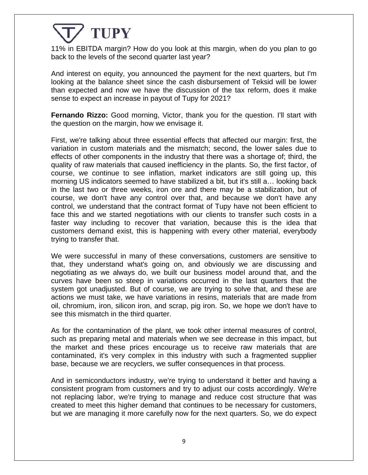11% in EBITDA margin? How do you look at this margin, when do you plan to go back to the levels of the second quarter last year?

And interest on equity, you announced the payment for the next quarters, but I'm looking at the balance sheet since the cash disbursement of Teksid will be lower than expected and now we have the discussion of the tax reform, does it make sense to expect an increase in payout of Tupy for 2021?

**Fernando Rizzo:** Good morning, Victor, thank you for the question. I'll start with the question on the margin, how we envisage it.

First, we're talking about three essential effects that affected our margin: first, the variation in custom materials and the mismatch; second, the lower sales due to effects of other components in the industry that there was a shortage of; third, the quality of raw materials that caused inefficiency in the plants. So, the first factor, of course, we continue to see inflation, market indicators are still going up, this morning US indicators seemed to have stabilized a bit, but it's still a… looking back in the last two or three weeks, iron ore and there may be a stabilization, but of course, we don't have any control over that, and because we don't have any control, we understand that the contract format of Tupy have not been efficient to face this and we started negotiations with our clients to transfer such costs in a faster way including to recover that variation, because this is the idea that customers demand exist, this is happening with every other material, everybody trying to transfer that.

We were successful in many of these conversations, customers are sensitive to that, they understand what's going on, and obviously we are discussing and negotiating as we always do, we built our business model around that, and the curves have been so steep in variations occurred in the last quarters that the system got unadjusted. But of course, we are trying to solve that, and these are actions we must take, we have variations in resins, materials that are made from oil, chromium, iron, silicon iron, and scrap, pig iron. So, we hope we don't have to see this mismatch in the third quarter.

As for the contamination of the plant, we took other internal measures of control, such as preparing metal and materials when we see decrease in this impact, but the market and these prices encourage us to receive raw materials that are contaminated, it's very complex in this industry with such a fragmented supplier base, because we are recyclers, we suffer consequences in that process.

And in semiconductors industry, we're trying to understand it better and having a consistent program from customers and try to adjust our costs accordingly. We're not replacing labor, we're trying to manage and reduce cost structure that was created to meet this higher demand that continues to be necessary for customers, but we are managing it more carefully now for the next quarters. So, we do expect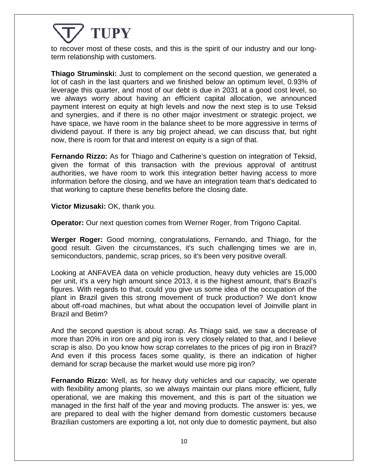to recover most of these costs, and this is the spirit of our industry and our longterm relationship with customers.

**Thiago Struminski:** Just to complement on the second question, we generated a lot of cash in the last quarters and we finished below an optimum level, 0.93% of leverage this quarter, and most of our debt is due in 2031 at a good cost level, so we always worry about having an efficient capital allocation, we announced payment interest on equity at high levels and now the next step is to use Teksid and synergies, and if there is no other major investment or strategic project, we have space, we have room in the balance sheet to be more aggressive in terms of dividend payout. If there is any big project ahead, we can discuss that, but right now, there is room for that and interest on equity is a sign of that.

**Fernando Rizzo:** As for Thiago and Catherine's question on integration of Teksid, given the format of this transaction with the previous approval of antitrust authorities, we have room to work this integration better having access to more information before the closing, and we have an integration team that's dedicated to that working to capture these benefits before the closing date.

**Victor Mizusaki:** OK, thank you.

**Operator:** Our next question comes from Werner Roger, from Trigono Capital.

**Werger Roger:** Good morning, congratulations, Fernando, and Thiago, for the good result. Given the circumstances, it's such challenging times we are in, semiconductors, pandemic, scrap prices, so it's been very positive overall.

Looking at ANFAVEA data on vehicle production, heavy duty vehicles are 15,000 per unit, it's a very high amount since 2013, it is the highest amount, that's Brazil's figures. With regards to that, could you give us some idea of the occupation of the plant in Brazil given this strong movement of truck production? We don't know about off-road machines, but what about the occupation level of Joinville plant in Brazil and Betim?

And the second question is about scrap. As Thiago said, we saw a decrease of more than 20% in iron ore and pig iron is very closely related to that, and I believe scrap is also. Do you know how scrap correlates to the prices of pig iron in Brazil? And even if this process faces some quality, is there an indication of higher demand for scrap because the market would use more pig iron?

**Fernando Rizzo:** Well, as for heavy duty vehicles and our capacity, we operate with flexibility among plants, so we always maintain our plans more efficient, fully operational, we are making this movement, and this is part of the situation we managed in the first half of the year and moving products. The answer is: yes, we are prepared to deal with the higher demand from domestic customers because Brazilian customers are exporting a lot, not only due to domestic payment, but also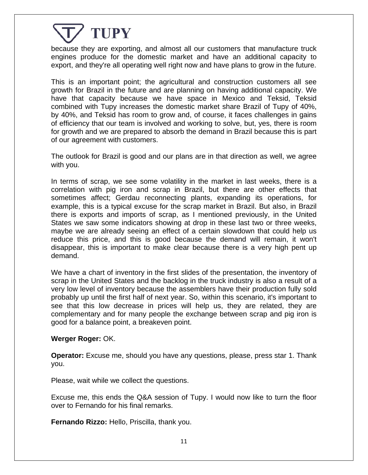because they are exporting, and almost all our customers that manufacture truck engines produce for the domestic market and have an additional capacity to export, and they're all operating well right now and have plans to grow in the future.

This is an important point; the agricultural and construction customers all see growth for Brazil in the future and are planning on having additional capacity. We have that capacity because we have space in Mexico and Teksid, Teksid combined with Tupy increases the domestic market share Brazil of Tupy of 40%, by 40%, and Teksid has room to grow and, of course, it faces challenges in gains of efficiency that our team is involved and working to solve, but, yes, there is room for growth and we are prepared to absorb the demand in Brazil because this is part of our agreement with customers.

The outlook for Brazil is good and our plans are in that direction as well, we agree with you.

In terms of scrap, we see some volatility in the market in last weeks, there is a correlation with pig iron and scrap in Brazil, but there are other effects that sometimes affect; Gerdau reconnecting plants, expanding its operations, for example, this is a typical excuse for the scrap market in Brazil. But also, in Brazil there is exports and imports of scrap, as I mentioned previously, in the United States we saw some indicators showing at drop in these last two or three weeks, maybe we are already seeing an effect of a certain slowdown that could help us reduce this price, and this is good because the demand will remain, it won't disappear, this is important to make clear because there is a very high pent up demand.

We have a chart of inventory in the first slides of the presentation, the inventory of scrap in the United States and the backlog in the truck industry is also a result of a very low level of inventory because the assemblers have their production fully sold probably up until the first half of next year. So, within this scenario, it's important to see that this low decrease in prices will help us, they are related, they are complementary and for many people the exchange between scrap and pig iron is good for a balance point, a breakeven point.

#### **Werger Roger:** OK.

**Operator:** Excuse me, should you have any questions, please, press star 1. Thank you.

Please, wait while we collect the questions.

Excuse me, this ends the Q&A session of Tupy. I would now like to turn the floor over to Fernando for his final remarks.

**Fernando Rizzo:** Hello, Priscilla, thank you.